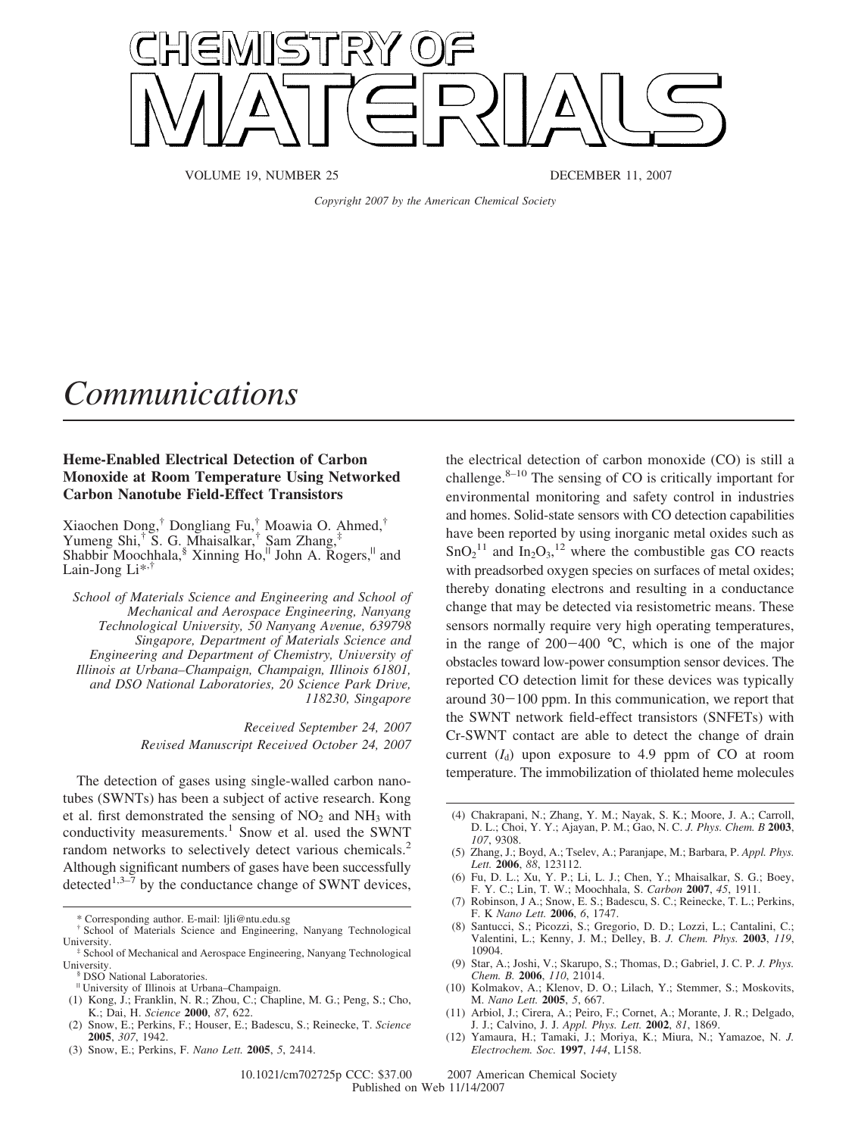

VOLUME 19, NUMBER 25 DECEMBER 11, 2007

*Copyright 2007 by the American Chemical Society*

## *Communications*

## **Heme-Enabled Electrical Detection of Carbon Monoxide at Room Temperature Using Networked Carbon Nanotube Field-Effect Transistors**

Xiaochen Dong,† Dongliang Fu,† Moawia O. Ahmed,† Yumeng Shi,† S. G. Mhaisalkar,† Sam Zhang,‡ Shabbir Moochhala, $\frac{8}{3}$  Xinning Ho,<sup> $||$ </sup> John A. Rogers, $||$  and Lain-Jong Li<sup>\*,†</sup>

*School of Materials Science and Engineering and School of Mechanical and Aerospace Engineering, Nanyang Technological Uni*V*ersity, 50 Nanyang A*V*enue, 639798 Singapore, Department of Materials Science and Engineering and Department of Chemistry, University of Illinois at Urbana–Champaign, Champaign, Illinois 61801, and DSO National Laboratories, 20 Science Park Dri*V*e, 118230, Singapore*

> *Recei*V*ed September 24, 2007 Re*V*ised Manuscript Recei*V*ed October 24, 2007*

The detection of gases using single-walled carbon nanotubes (SWNTs) has been a subject of active research. Kong et al. first demonstrated the sensing of  $NO<sub>2</sub>$  and  $NH<sub>3</sub>$  with conductivity measurements.<sup>1</sup> Snow et al. used the SWNT random networks to selectively detect various chemicals.<sup>2</sup> Although significant numbers of gases have been successfully detected<sup>1,3–7</sup> by the conductance change of SWNT devices,

† School of Materials Science and Engineering, Nanyang Technological

- (2) Snow, E.; Perkins, F.; Houser, E.; Badescu, S.; Reinecke, T. *Science* **2005**, *307*, 1942.
- (3) Snow, E.; Perkins, F. *Nano Lett.* **2005**, *5*, 2414.

the electrical detection of carbon monoxide (CO) is still a challenge. $8-10$  The sensing of CO is critically important for environmental monitoring and safety control in industries and homes. Solid-state sensors with CO detection capabilities have been reported by using inorganic metal oxides such as  $SnO<sub>2</sub><sup>11</sup>$  and  $In<sub>2</sub>O<sub>3</sub><sup>12</sup>$  where the combustible gas CO reacts with preadsorbed oxygen species on surfaces of metal oxides; thereby donating electrons and resulting in a conductance change that may be detected via resistometric means. These sensors normally require very high operating temperatures, in the range of  $200-400$  °C, which is one of the major obstacles toward low-power consumption sensor devices. The reported CO detection limit for these devices was typically around  $30-100$  ppm. In this communication, we report that the SWNT network field-effect transistors (SNFETs) with Cr-SWNT contact are able to detect the change of drain current  $(I_d)$  upon exposure to 4.9 ppm of CO at room temperature. The immobilization of thiolated heme molecules

- (4) Chakrapani, N.; Zhang, Y. M.; Nayak, S. K.; Moore, J. A.; Carroll, D. L.; Choi, Y. Y.; Ajayan, P. M.; Gao, N. C. *J. Phys. Chem. B* **2003**, *107*, 9308.
- (5) Zhang, J.; Boyd, A.; Tselev, A.; Paranjape, M.; Barbara, P. *Appl. Phys. Lett.* **2006**, *88*, 123112.
- (6) Fu, D. L.; Xu, Y. P.; Li, L. J.; Chen, Y.; Mhaisalkar, S. G.; Boey, F. Y. C.; Lin, T. W.; Moochhala, S. *Carbon* **2007**, *45*, 1911.
- (7) Robinson, J A.; Snow, E. S.; Badescu, S. C.; Reinecke, T. L.; Perkins, F. K *Nano Lett.* **2006**, *6*, 1747.
- (8) Santucci, S.; Picozzi, S.; Gregorio, D. D.; Lozzi, L.; Cantalini, C.; Valentini, L.; Kenny, J. M.; Delley, B. *J. Chem. Phys.* **2003**, *119*, 10904.
- (9) Star, A.; Joshi, V.; Skarupo, S.; Thomas, D.; Gabriel, J. C. P. *J. Phys. Chem. B.* **2006**, *110*, 21014.
- (10) Kolmakov, A.; Klenov, D. O.; Lilach, Y.; Stemmer, S.; Moskovits, M. *Nano Lett.* **2005**, *5*, 667.
- (11) Arbiol, J.; Cirera, A.; Peiro, F.; Cornet, A.; Morante, J. R.; Delgado, J. J.; Calvino, J. J. *Appl. Phys. Lett.* **2002**, *81*, 1869.
- (12) Yamaura, H.; Tamaki, J.; Moriya, K.; Miura, N.; Yamazoe, N. *J. Electrochem. Soc.* **1997**, *144*, L158.

<sup>\*</sup> Corresponding author. E-mail: ljli@ntu.edu.sg

University.<br>
<sup>‡</sup> School of Mechanical and Aerospace Engineering, Nanyang Technological<br>
University.

<sup>&</sup>lt;sup>§</sup> DSO National Laboratories.

<sup>|</sup> University of Illinois at Urbana–Champaign.

<sup>(1)</sup> Kong, J.; Franklin, N. R.; Zhou, C.; Chapline, M. G.; Peng, S.; Cho, K.; Dai, H. *Science* **2000**, *87*, 622.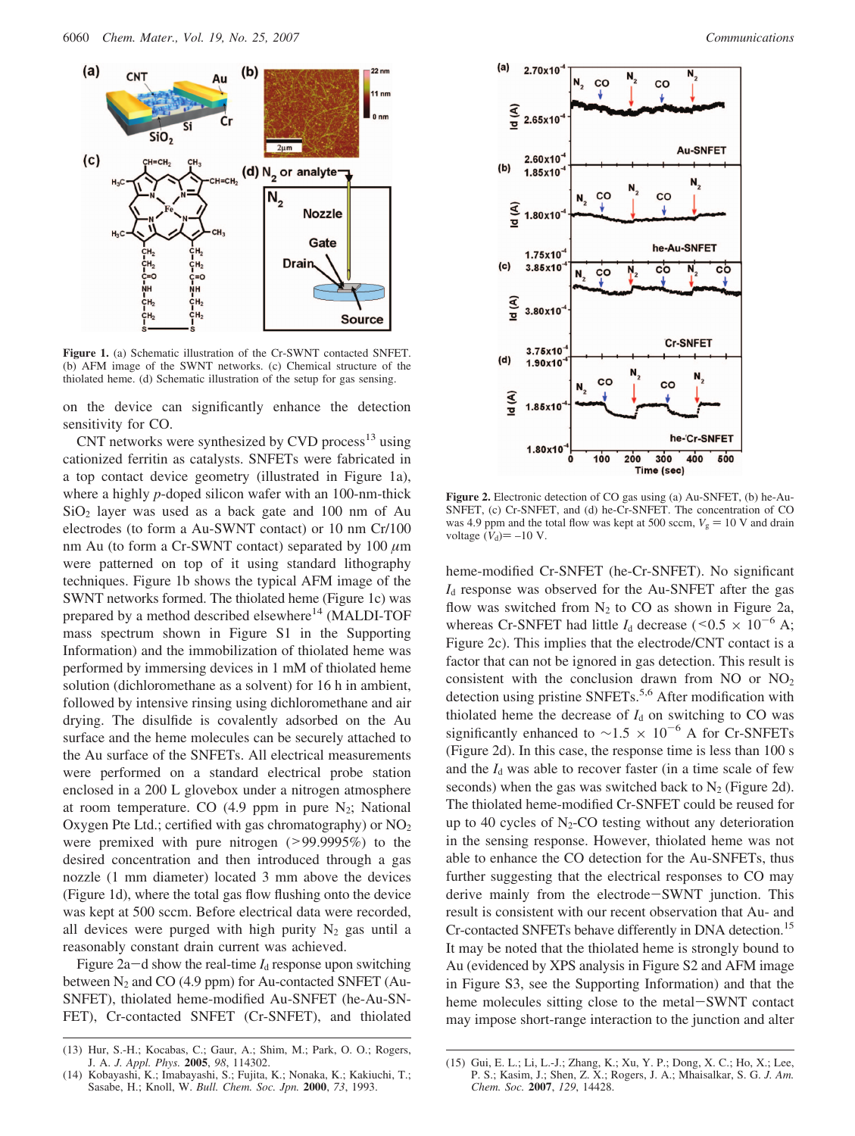

**Figure 1.** (a) Schematic illustration of the Cr-SWNT contacted SNFET. (b) AFM image of the SWNT networks. (c) Chemical structure of the thiolated heme. (d) Schematic illustration of the setup for gas sensing.

on the device can significantly enhance the detection sensitivity for CO.

CNT networks were synthesized by CVD process $^{13}$  using cationized ferritin as catalysts. SNFETs were fabricated in a top contact device geometry (illustrated in Figure 1a), where a highly *p*-doped silicon wafer with an 100-nm-thick  $SiO<sub>2</sub>$  layer was used as a back gate and 100 nm of Au electrodes (to form a Au-SWNT contact) or 10 nm Cr/100 nm Au (to form a Cr-SWNT contact) separated by 100 *µ*m were patterned on top of it using standard lithography techniques. Figure 1b shows the typical AFM image of the SWNT networks formed. The thiolated heme (Figure 1c) was prepared by a method described elsewhere<sup>14</sup> (MALDI-TOF mass spectrum shown in Figure S1 in the Supporting Information) and the immobilization of thiolated heme was performed by immersing devices in 1 mM of thiolated heme solution (dichloromethane as a solvent) for 16 h in ambient, followed by intensive rinsing using dichloromethane and air drying. The disulfide is covalently adsorbed on the Au surface and the heme molecules can be securely attached to the Au surface of the SNFETs. All electrical measurements were performed on a standard electrical probe station enclosed in a 200 L glovebox under a nitrogen atmosphere at room temperature. CO  $(4.9$  ppm in pure N<sub>2</sub>; National Oxygen Pte Ltd.; certified with gas chromatography) or  $NO<sub>2</sub>$ were premixed with pure nitrogen (>99.9995%) to the desired concentration and then introduced through a gas nozzle (1 mm diameter) located 3 mm above the devices (Figure 1d), where the total gas flow flushing onto the device was kept at 500 sccm. Before electrical data were recorded, all devices were purged with high purity  $N_2$  gas until a reasonably constant drain current was achieved.

Figure  $2a-d$  show the real-time  $I_d$  response upon switching between N<sub>2</sub> and CO (4.9 ppm) for Au-contacted SNFET (Au-SNFET), thiolated heme-modified Au-SNFET (he-Au-SN-FET), Cr-contacted SNFET (Cr-SNFET), and thiolated



**Figure 2.** Electronic detection of CO gas using (a) Au-SNFET, (b) he-Au-SNFET, (c) Cr-SNFET, and (d) he-Cr-SNFET. The concentration of CO was 4.9 ppm and the total flow was kept at 500 sccm,  $V_g = 10$  V and drain voltage  $(V_d) = -10$  V.

heme-modified Cr-SNFET (he-Cr-SNFET). No significant *I*<sub>d</sub> response was observed for the Au-SNFET after the gas flow was switched from  $N_2$  to CO as shown in Figure 2a, whereas Cr-SNFET had little  $I_d$  decrease ( $\leq 0.5 \times 10^{-6}$  A; Figure 2c). This implies that the electrode/CNT contact is a factor that can not be ignored in gas detection. This result is consistent with the conclusion drawn from NO or NO2 detection using pristine SNFETs.<sup>5,6</sup> After modification with thiolated heme the decrease of  $I_d$  on switching to CO was significantly enhanced to  $\sim$ 1.5 × 10<sup>-6</sup> A for Cr-SNFETs (Figure 2d). In this case, the response time is less than 100 s and the  $I_d$  was able to recover faster (in a time scale of few seconds) when the gas was switched back to  $N_2$  (Figure 2d). The thiolated heme-modified Cr-SNFET could be reused for up to 40 cycles of  $N_2$ -CO testing without any deterioration in the sensing response. However, thiolated heme was not able to enhance the CO detection for the Au-SNFETs, thus further suggesting that the electrical responses to CO may derive mainly from the electrode-SWNT junction. This result is consistent with our recent observation that Au- and Cr-contacted SNFETs behave differently in DNA detection.<sup>15</sup> It may be noted that the thiolated heme is strongly bound to Au (evidenced by XPS analysis in Figure S2 and AFM image in Figure S3, see the Supporting Information) and that the heme molecules sitting close to the metal-SWNT contact may impose short-range interaction to the junction and alter

<sup>(13)</sup> Hur, S.-H.; Kocabas, C.; Gaur, A.; Shim, M.; Park, O. O.; Rogers, J. A. *J. Appl. Phys.* **2005**, *98*, 114302.

<sup>(14)</sup> Kobayashi, K.; Imabayashi, S.; Fujita, K.; Nonaka, K.; Kakiuchi, T.; Sasabe, H.; Knoll, W. *Bull. Chem. Soc. Jpn.* **2000**, *73*, 1993.

<sup>(15)</sup> Gui, E. L.; Li, L.-J.; Zhang, K.; Xu, Y. P.; Dong, X. C.; Ho, X.; Lee, P. S.; Kasim, J.; Shen, Z. X.; Rogers, J. A.; Mhaisalkar, S. G. *J. Am. Chem. Soc.* **2007**, *129*, 14428.